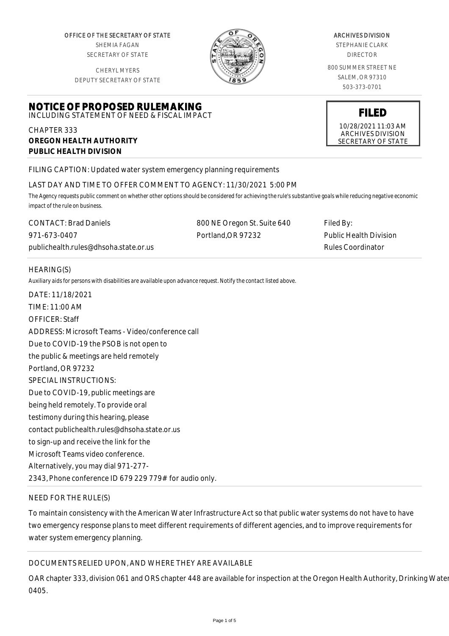OFFICE OF THE SECRETARY OF STATE SHEMIA FAGAN SECRETARY OF STATE

CHERYL MYERS DEPUTY SECRETARY OF STATE



#### ARCHIVES DIVISION

STEPHANIE CLARK DIRECTOR

800 SUMMER STREET NE SALEM, OR 97310 503-373-0701

**FILED**

10/28/2021 11:03 AM ARCHIVES DIVISION SECRETARY OF STATE

#### **NOTICE OF PROPOSED RULEMAKING** INCLUDING STATEMENT OF NEED & FISCAL IMPACT

## CHAPTER 333 **OREGON HEALTH AUTHORITY PUBLIC HEALTH DIVISION**

FILING CAPTION: Updated water system emergency planning requirements

## LAST DAY AND TIME TO OFFER COMMENT TO AGENCY: 11/30/2021 5:00 PM

*The Agency requests public comment on whether other options should be considered for achieving the rule's substantive goals while reducing negative economic impact of the rule on business.*

| <b>CONTACT: Brad Daniels</b>          | 800 NE Oregon St. Suite 640 | Filed By:                     |
|---------------------------------------|-----------------------------|-------------------------------|
| 971-673-0407                          | Portland.OR 97232           | <b>Public Health Division</b> |
| publichealth.rules@dhsoha.state.or.us |                             | Rules Coordinator             |

# HEARING(S)

*Auxiliary aids for persons with disabilities are available upon advance request. Notify the contact listed above.*

DATE: 11/18/2021 TIME: 11:00 AM OFFICER: Staff ADDRESS: Microsoft Teams - Video/conference call Due to COVID-19 the PSOB is not open to the public & meetings are held remotely Portland, OR 97232 SPECIAL INSTRUCTIONS: Due to COVID-19, public meetings are being held remotely. To provide oral testimony during this hearing, please contact publichealth.rules@dhsoha.state.or.us to sign-up and receive the link for the Microsoft Teams video conference. Alternatively, you may dial 971-277- 2343, Phone conference ID 679 229 779# for audio only.

# NEED FOR THE RULE(S)

To maintain consistency with the American Water Infrastructure Act so that public water systems do not have to have two emergency response plans to meet different requirements of different agencies, and to improve requirements for water system emergency planning.

# DOCUMENTS RELIED UPON, AND WHERE THEY ARE AVAILABLE

OAR chapter 333, division 061 and ORS chapter 448 are available for inspection at the Oregon Health Authority, Drinking Water Street, Suite 640, Portland, Suite 640, Portland, and Articles, Suite 640, Portland, Suite 610, 0405.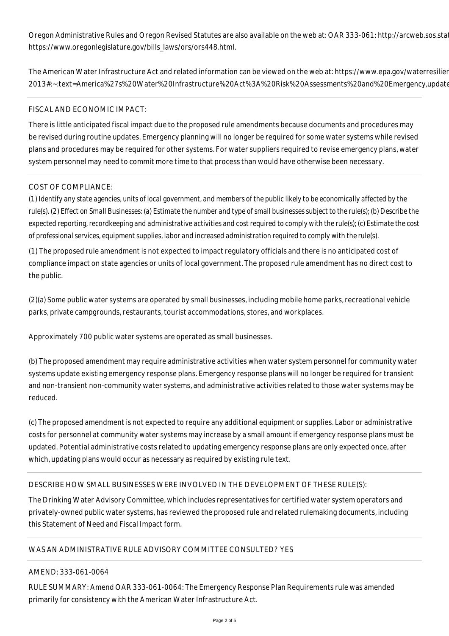Oregon Administrative Rules and Oregon Revised Statutes are also available on the web at: OAR 333-061: http://arcweb.sos.sta https://www.oregonlegislature.gov/bills\_laws/ors/ors448.html.

The American Water Infrastructure Act and related information can be viewed on the web at: https://www.epa.gov/waterresilier 2013#:~:text=America%27s%20Water%20Infrastructure%20Act%3A%20Risk%20Assessments%20and%20Emergency,update

#### FISCAL AND ECONOMIC IMPACT:

There is little anticipated fiscal impact due to the proposed rule amendments because documents and procedures may be revised during routine updates. Emergency planning will no longer be required for some water systems while revised plans and procedures may be required for other systems. For water suppliers required to revise emergency plans, water system personnel may need to commit more time to that process than would have otherwise been necessary.

#### COST OF COMPLIANCE:

*(1) Identify any state agencies, units of local government, and members of the public likely to be economically affected by the rule(s). (2) Effect on Small Businesses: (a) Estimate the number and type of small businesses subject to the rule(s); (b) Describe the expected reporting, recordkeeping and administrative activities and cost required to comply with the rule(s); (c) Estimate the cost of professional services, equipment supplies, labor and increased administration required to comply with the rule(s).*

(1) The proposed rule amendment is not expected to impact regulatory officials and there is no anticipated cost of compliance impact on state agencies or units of local government. The proposed rule amendment has no direct cost to the public.

(2)(a) Some public water systems are operated by small businesses, including mobile home parks, recreational vehicle parks, private campgrounds, restaurants, tourist accommodations, stores, and workplaces.

Approximately 700 public water systems are operated as small businesses.

(b) The proposed amendment may require administrative activities when water system personnel for community water systems update existing emergency response plans. Emergency response plans will no longer be required for transient and non-transient non-community water systems, and administrative activities related to those water systems may be reduced.

(c) The proposed amendment is not expected to require any additional equipment or supplies. Labor or administrative costs for personnel at community water systems may increase by a small amount if emergency response plans must be updated. Potential administrative costs related to updating emergency response plans are only expected once, after which, updating plans would occur as necessary as required by existing rule text.

## DESCRIBE HOW SMALL BUSINESSES WERE INVOLVED IN THE DEVELOPMENT OF THESE RULE(S):

The Drinking Water Advisory Committee, which includes representatives for certified water system operators and privately-owned public water systems, has reviewed the proposed rule and related rulemaking documents, including this Statement of Need and Fiscal Impact form.

#### WAS AN ADMINISTRATIVE RULE ADVISORY COMMITTEE CONSULTED? YES

#### AMEND: 333-061-0064

RULE SUMMARY: Amend OAR 333-061-0064: The Emergency Response Plan Requirements rule was amended primarily for consistency with the American Water Infrastructure Act.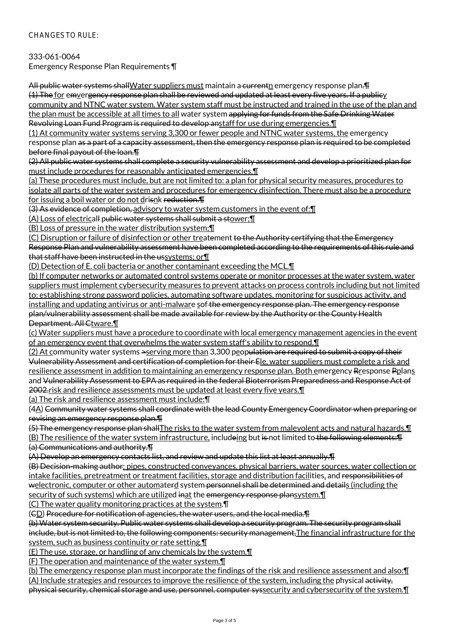## CHANGES TO RULE:

333-061-0064

Emergency Response Plan Requirements ¶

All public water systems shall Water suppliers must maintain a current mergency response plan. The (1) The for emvergency response plan shall be reviewed and updated at least every five years. If a publicy community and NTNC water system. Water system staff must be instructed and trained in the use of the plan and the plan must be accessible at all times to all water system applying for funds from the Safe Drinking Water Revolving Loan Fund Program is required to develop anstaff for use during emergencies.¶

(1) At community water systems serving 3,300 or fewer people and NTNC water systems, the emergency response plan as a part of a capacity assessment, then the emergency response plan is required to be completed before final payout of the loan.¶

(2) All public water systems shall complete a security vulnerability assessment and develop a prioritized plan for must include procedures for reasonably anticipated emergencies.¶

(a) These procedures must include, but are not limited to: a plan for physical security measures, procedures to isolate all parts of the water system and procedures for emergency disinfection. There must also be a procedure for issuing a boil water or do not drisnk reduction. The

(3) As evidence of completion, advisory to water system customers in the event of:¶

(A) Loss of electricall public water systems shall submit a stower;¶

(B) Loss of pressure in the water distribution system;¶

(C) Disruption or failure of disinfection or other treatement to the Authority certifying that the Emergency Response Plan and vulnerability assessment have been completed according to the requirements of this rule and that staff have been instructed in the ussystems; or¶

(D) Detection of E. coli bacteria or another contaminant exceeding the MCL.¶

(b) If computer networks or automated control systems operate or monitor processes at the water system, water suppliers must implement cybersecurity measures to prevent attacks on process controls including but not limited to: establishing strong password policies, automating software updates, monitoring for suspicious activity, and installing and updating antivirus or anti-malware sof the emergency response plan. The emergency response plan/vulnerability assessment shall be made available for review by the Authority or the County Health Department. All Ctware. 1

(c) Water suppliers must have a procedure to coordinate with local emergency management agencies in the event of an emergency event that overwhelms the water system staff's ability to respond.¶

(2) At community water systems  $\geq$ serving more than 3,300 peop<del>ulation are required to submit a copy of their</del> Vulnerability Assessment and certification of completion for their Ele, water suppliers must complete a risk and resilience assessment in addition to maintaining an emergency response plan. Both emergency Rresponse Pplans and Vulnerability Assessment to EPA as required in the federal Bioterrorism Preparedness and Response Act of 2002.risk and resilience assessments must be updated at least every five years.¶

(a) The risk and resilience assessment must include:¶

(4A) Community water systems shall coordinate with the lead County Emergency Coordinator when preparing or revising an emergency response plan.¶

(5) The emergency response plan shallThe risks to the water system from malevolent acts and natural hazards.¶

(B) The resilience of the water system infrastructure, includeing but is not limited to the following elements: [I (a) Communications and authority.¶

(A) Develop an emergency contacts list, and review and update this list at least annually.¶

(B) Decision-making author: pipes, constructed conveyances, physical barriers, water sources, water collection or intake facilities, pretreatment or treatment facilities, storage and distribution facilities, and responsibilities of welectronic, computer or other automaterd system personnel shall be determined and details (including the security of such systems) which are utilized inat the emergency response plansystem. I

(C) The water quality monitoring practices at the system.¶

(CD) Procedure for notification of agencies, the water users, and the local media.¶

(b) Water system security. Public water systems shall develop a security program. The security program shall include, but is not limited to, the following components: security management, The financial infrastructure for the system, such as business continuity or rate setting.¶

(E) The use, storage, or handling of any chemicals by the system.¶

(F) The operation and maintenance of the water system.¶

(b) The emergency response plan must incorporate the findings of the risk and resilience assessment and also:¶ (A) Include strategies and resources to improve the resilience of the system, including the physical activity, physical security, chemical storage and use, personnel, computer syssecurity and cybersecurity of the system. I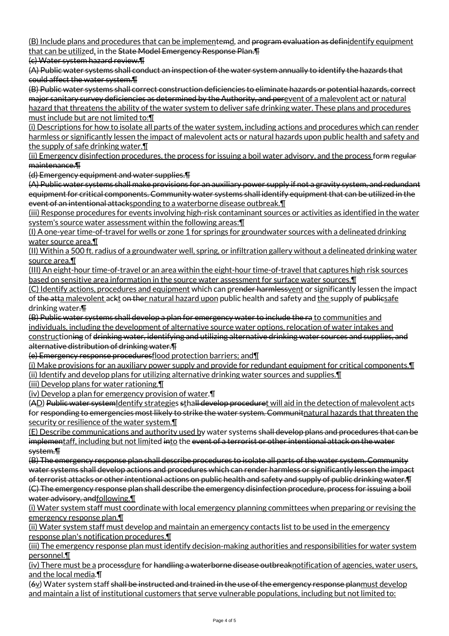(B) Include plans and procedures that can be implementemd, and program evaluation as definidentify equipment that can be utilized, in the State Model Emergency Response Plan.¶

(c) Water system hazard review.¶

(A) Public water systems shall conduct an inspection of the water system annually to identify the hazards that could affect the water system.¶

(B) Public water systems shall correct construction deficiencies to eliminate hazards or potential hazards, correct major sanitary survey deficiencies as determined by the Authority, and perevent of a malevolent act or natural hazard that threatens the ability of the water system to deliver safe drinking water. These plans and procedures must include but are not limited to:¶

(i) Descriptions for how to isolate all parts of the water system, including actions and procedures which can render harmless or significantly lessen the impact of malevolent acts or natural hazards upon public health and safety and the supply of safe drinking water.¶

(ii) Emergency disinfection procedures, the process for issuing a boil water advisory, and the process form regular maintenance.¶

(d) Emergency equipment and water supplies.¶

(A) Public water systems shall make provisions for an auxiliary power supply if not a gravity system, and redundant equipment for critical components. Community water systems shall identify equipment that can be utilized in the event of an intentional attacksponding to a waterborne disease outbreak. [1]

(iii) Response procedures for events involving high-risk contaminant sources or activities as identified in the water system's source water assessment within the following areas:¶

(I) A one-year time-of-travel for wells or zone 1 for springs for groundwater sources with a delineated drinking water source area.¶

(II) Within a 500 ft. radius of a groundwater well, spring, or infiltration gallery without a delineated drinking water source area.¶

(III) An eight-hour time-of-travel or an area within the eight-hour time-of-travel that captures high risk sources based on sensitive area information in the source water assessment for surface water sources.¶

(C) Identify actions, procedures and equipment which can prender harmlessyent or significantly lessen the impact of the atta malevolent ackt on ther natural hazard upon public health and safety and the supply of publicsafe drinking water.¶

(B) Public water systems shall develop a plan for emergency water to include the ra to communities and individuals, including the development of alternative source water options, relocation of water intakes and constructioning of drinking water, identifying and utilizing alternative drinking water sources and supplies, and alternative distribution of drinking water.¶

(e) Emergency response proceduresflood protection barriers; and¶

(i) Make provisions for an auxiliary power supply and provide for redundant equipment for critical components.¶ (ii) Identify and develop plans for utilizing alternative drinking water sources and supplies.¶

(iii) Develop plans for water rationing.¶

(iv) Develop a plan for emergency provision of water.¶

(AD) Public water system Identify strategies sthall develop proceduret will aid in the detection of malevolent acts for responding to emergencies most likely to strike the water system. Communitnatural hazards that threaten the security or resilience of the water system.¶

(E) Describe communications and authority used by water systems shall develop plans and procedures that can be implementaff, including but not limited into the event of a terrorist or other intentional attack on the water system.¶

(B) The emergency response plan shall describe procedures to isolate all parts of the water system. Community water systems shall develop actions and procedures which can render harmless or significantly lessen the impact of terrorist attacks or other intentional actions on public health and safety and supply of public drinking water.¶ (C) The emergency response plan shall describe the emergency disinfection procedure, process for issuing a boil water advisory, andfollowing.¶

(i) Water system staff must coordinate with local emergency planning committees when preparing or revising the emergency response plan.¶

(ii) Water system staff must develop and maintain an emergency contacts list to be used in the emergency response plan's notification procedures.¶

(iii) The emergency response plan must identify decision-making authorities and responsibilities for water system personnel.¶

(iv) There must be a processdure for handling a waterborne disease outbreaknotification of agencies, water users, and the local media.¶

(6v) Water system staff shall be instructed and trained in the use of the emergency response planmust develop and maintain a list of institutional customers that serve vulnerable populations, including but not limited to: